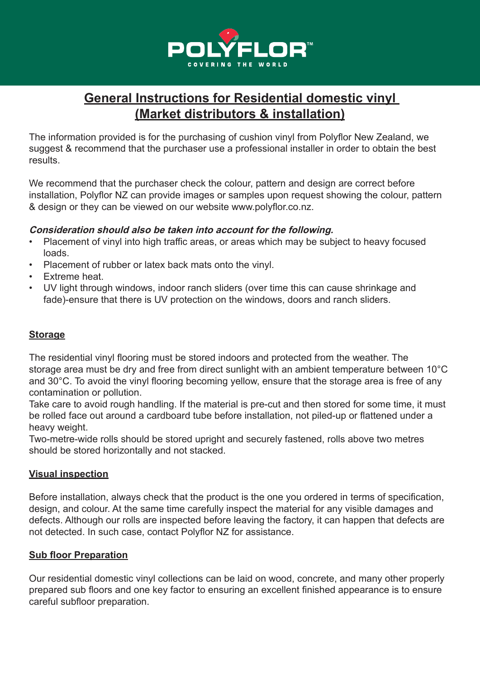

# **General Instructions for Residential domestic vinyl (Market distributors & installation)**

The information provided is for the purchasing of cushion vinyl from Polyflor New Zealand, we suggest & recommend that the purchaser use a professional installer in order to obtain the best results.

We recommend that the purchaser check the colour, pattern and design are correct before installation, Polyflor NZ can provide images or samples upon request showing the colour, pattern & design or they can be viewed on our website www.polyflor.co.nz.

## **Consideration should also be taken into account for the following.**

- Placement of vinyl into high traffic areas, or areas which may be subject to heavy focused loads.
- Placement of rubber or latex back mats onto the vinyl.
- Extreme heat.
- UV light through windows, indoor ranch sliders (over time this can cause shrinkage and fade)-ensure that there is UV protection on the windows, doors and ranch sliders.

## **Storage**

The residential vinyl flooring must be stored indoors and protected from the weather. The storage area must be dry and free from direct sunlight with an ambient temperature between 10°C and 30°C. To avoid the vinyl flooring becoming yellow, ensure that the storage area is free of any contamination or pollution.

Take care to avoid rough handling. If the material is pre-cut and then stored for some time, it must be rolled face out around a cardboard tube before installation, not piled-up or flattened under a heavy weight.

Two-metre-wide rolls should be stored upright and securely fastened, rolls above two metres should be stored horizontally and not stacked.

## **Visual inspection**

Before installation, always check that the product is the one you ordered in terms of specification, design, and colour. At the same time carefully inspect the material for any visible damages and defects. Although our rolls are inspected before leaving the factory, it can happen that defects are not detected. In such case, contact Polyflor NZ for assistance.

## **Sub floor Preparation**

Our residential domestic vinyl collections can be laid on wood, concrete, and many other properly prepared sub floors and one key factor to ensuring an excellent finished appearance is to ensure careful subfloor preparation.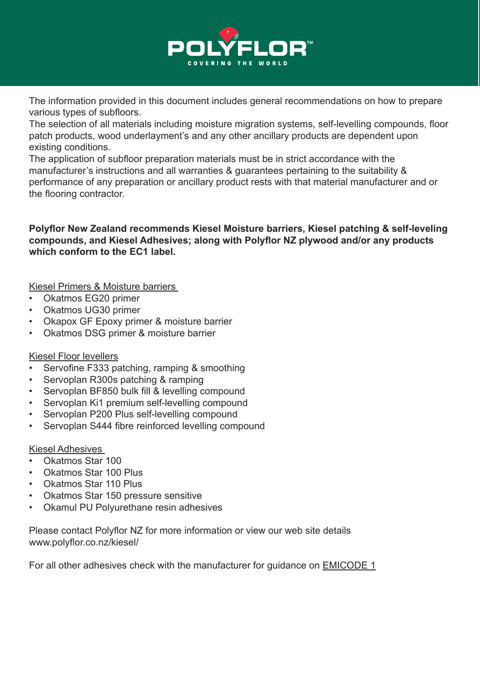

The information provided in this document includes general recommendations on how to prepare various types of subfloors.

The selection of all materials including moisture migration systems, self-levelling compounds, floor patch products, wood underlayment's and any other ancillary products are dependent upon existing conditions.

The application of subfloor preparation materials must be in strict accordance with the manufacturer's instructions and all warranties & guarantees pertaining to the suitability & performance of any preparation or ancillary product rests with that material manufacturer and or the flooring contractor.

## **Polyflor New Zealand recommends Kiesel Moisture barriers, Kiesel patching & self-leveling compounds, and Kiesel Adhesives; along with Polyflor NZ plywood and/or any products which conform to the EC1 label.**

Kiesel Primers & Moisture barriers

- Okatmos EG20 primer
- Okatmos UG30 primer
- Okapox GF Epoxy primer & moisture barrier
- Okatmos DSG primer & moisture barrier

## Kiesel Floor levellers

- Servofine F333 patching, ramping & smoothing
- Servoplan R300s patching & ramping
- Servoplan BF850 bulk fill & levelling compound
- Servoplan Ki1 premium self-levelling compound
- Servoplan P200 Plus self-levelling compound
- Servoplan S444 fibre reinforced levelling compound

## Kiesel Adhesives

- Okatmos Star 100
- Okatmos Star 100 Plus
- Okatmos Star 110 Plus
- Okatmos Star 150 pressure sensitive
- Okamul PU Polyurethane resin adhesives

Please contact Polyflor NZ for more information or view our web site details www.polyflor.co.nz/kiesel/

For all other adhesives check with the manufacturer for guidance on EMICODE 1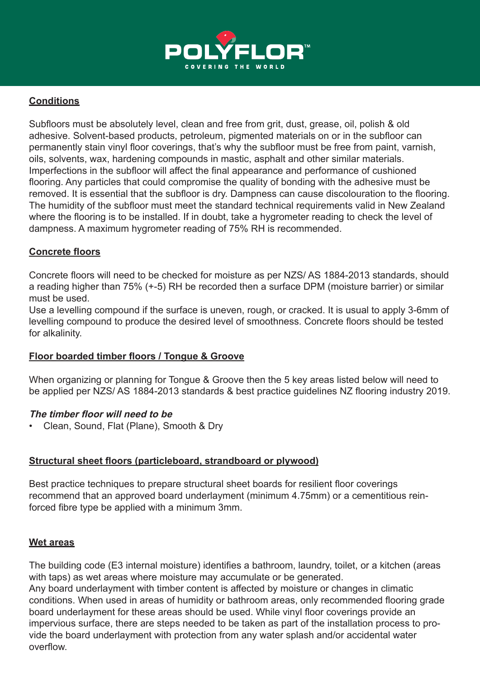

## **Conditions**

Subfloors must be absolutely level, clean and free from grit, dust, grease, oil, polish & old adhesive. Solvent-based products, petroleum, pigmented materials on or in the subfloor can permanently stain vinyl floor coverings, that's why the subfloor must be free from paint, varnish, oils, solvents, wax, hardening compounds in mastic, asphalt and other similar materials. Imperfections in the subfloor will affect the final appearance and performance of cushioned flooring. Any particles that could compromise the quality of bonding with the adhesive must be removed. It is essential that the subfloor is dry. Dampness can cause discolouration to the flooring. The humidity of the subfloor must meet the standard technical requirements valid in New Zealand where the flooring is to be installed. If in doubt, take a hygrometer reading to check the level of dampness. A maximum hygrometer reading of 75% RH is recommended.

## **Concrete floors**

Concrete floors will need to be checked for moisture as per NZS/ AS 1884-2013 standards, should a reading higher than 75% (+-5) RH be recorded then a surface DPM (moisture barrier) or similar must be used.

Use a levelling compound if the surface is uneven, rough, or cracked. It is usual to apply 3-6mm of levelling compound to produce the desired level of smoothness. Concrete floors should be tested for alkalinity.

## **Floor boarded timber floors / Tongue & Groove**

When organizing or planning for Tongue & Groove then the 5 key areas listed below will need to be applied per NZS/ AS 1884-2013 standards & best practice guidelines NZ flooring industry 2019.

## **The timber floor will need to be**

• Clean, Sound, Flat (Plane), Smooth & Dry

## **Structural sheet floors (particleboard, strandboard or plywood)**

Best practice techniques to prepare structural sheet boards for resilient floor coverings recommend that an approved board underlayment (minimum 4.75mm) or a cementitious reinforced fibre type be applied with a minimum 3mm.

## **Wet areas**

The building code (E3 internal moisture) identifies a bathroom, laundry, toilet, or a kitchen (areas with taps) as wet areas where moisture may accumulate or be generated.

Any board underlayment with timber content is affected by moisture or changes in climatic conditions. When used in areas of humidity or bathroom areas, only recommended flooring grade board underlayment for these areas should be used. While vinyl floor coverings provide an impervious surface, there are steps needed to be taken as part of the installation process to provide the board underlayment with protection from any water splash and/or accidental water overflow.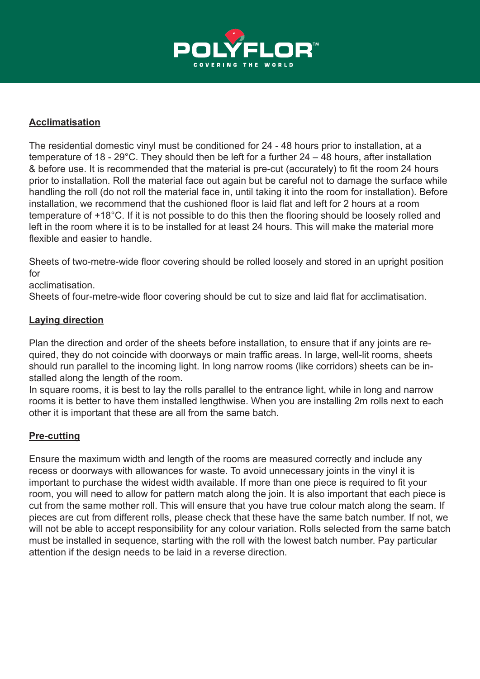

## **Acclimatisation**

The residential domestic vinyl must be conditioned for 24 - 48 hours prior to installation, at a temperature of 18 - 29°C. They should then be left for a further 24 – 48 hours, after installation & before use. It is recommended that the material is pre-cut (accurately) to fit the room 24 hours prior to installation. Roll the material face out again but be careful not to damage the surface while handling the roll (do not roll the material face in, until taking it into the room for installation). Before installation, we recommend that the cushioned floor is laid flat and left for 2 hours at a room temperature of +18°C. If it is not possible to do this then the flooring should be loosely rolled and left in the room where it is to be installed for at least 24 hours. This will make the material more flexible and easier to handle.

Sheets of two-metre-wide floor covering should be rolled loosely and stored in an upright position for

acclimatisation.

Sheets of four-metre-wide floor covering should be cut to size and laid flat for acclimatisation.

## **Laying direction**

Plan the direction and order of the sheets before installation, to ensure that if any joints are required, they do not coincide with doorways or main traffic areas. In large, well-lit rooms, sheets should run parallel to the incoming light. In long narrow rooms (like corridors) sheets can be installed along the length of the room.

In square rooms, it is best to lay the rolls parallel to the entrance light, while in long and narrow rooms it is better to have them installed lengthwise. When you are installing 2m rolls next to each other it is important that these are all from the same batch.

## **Pre-cutting**

Ensure the maximum width and length of the rooms are measured correctly and include any recess or doorways with allowances for waste. To avoid unnecessary joints in the vinyl it is important to purchase the widest width available. If more than one piece is required to fit your room, you will need to allow for pattern match along the join. It is also important that each piece is cut from the same mother roll. This will ensure that you have true colour match along the seam. If pieces are cut from different rolls, please check that these have the same batch number. If not, we will not be able to accept responsibility for any colour variation. Rolls selected from the same batch must be installed in sequence, starting with the roll with the lowest batch number. Pay particular attention if the design needs to be laid in a reverse direction.